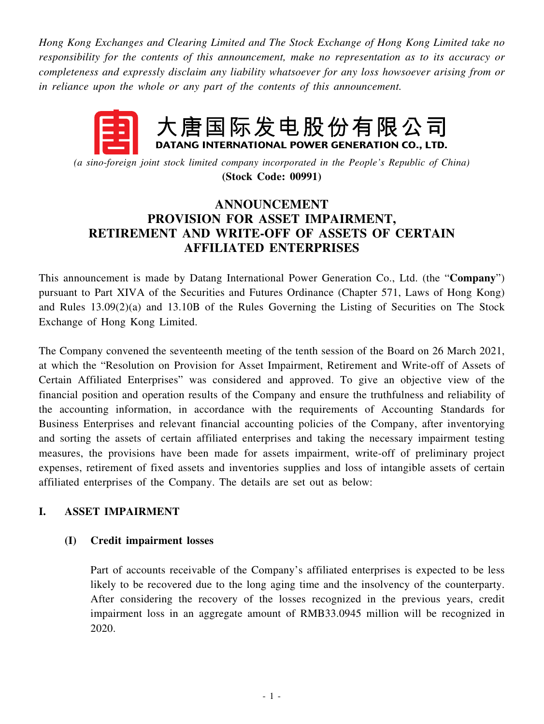*Hong Kong Exchanges and Clearing Limited and The Stock Exchange of Hong Kong Limited take no responsibility for the contents of this announcement, make no representation as to its accuracy or completeness and expressly disclaim any liability whatsoever for any loss howsoever arising from or in reliance upon the whole or any part of the contents of this announcement.*

# 大唐国际发电股份有限公司 DATANG INTERNATIONAL POWER GENERATION CO., LTD.

*(a sino-foreign joint stock limited company incorporated in the People's Republic of China)* **(Stock Code: 00991)**

# **ANNOUNCEMENT PROVISION FOR ASSET IMPAIRMENT, RETIREMENT AND WRITE-OFF OF ASSETS OF CERTAIN AFFILIATED ENTERPRISES**

This announcement is made by Datang International Power Generation Co., Ltd. (the "**Company**") pursuant to Part XIVA of the Securities and Futures Ordinance (Chapter 571, Laws of Hong Kong) and Rules 13.09(2)(a) and 13.10B of the Rules Governing the Listing of Securities on The Stock Exchange of Hong Kong Limited.

The Company convened the seventeenth meeting of the tenth session of the Board on 26 March 2021, at which the "Resolution on Provision for Asset Impairment, Retirement and Write-off of Assets of Certain Affiliated Enterprises" was considered and approved. To give an objective view of the financial position and operation results of the Company and ensure the truthfulness and reliability of the accounting information, in accordance with the requirements of Accounting Standards for Business Enterprises and relevant financial accounting policies of the Company, after inventorying and sorting the assets of certain affiliated enterprises and taking the necessary impairment testing measures, the provisions have been made for assets impairment, write-off of preliminary project expenses, retirement of fixed assets and inventories supplies and loss of intangible assets of certain affiliated enterprises of the Company. The details are set out as below:

# **I. ASSET IMPAIRMENT**

# **(I) Credit impairment losses**

Part of accounts receivable of the Company's affiliated enterprises is expected to be less likely to be recovered due to the long aging time and the insolvency of the counterparty. After considering the recovery of the losses recognized in the previous years, credit impairment loss in an aggregate amount of RMB33.0945 million will be recognized in 2020.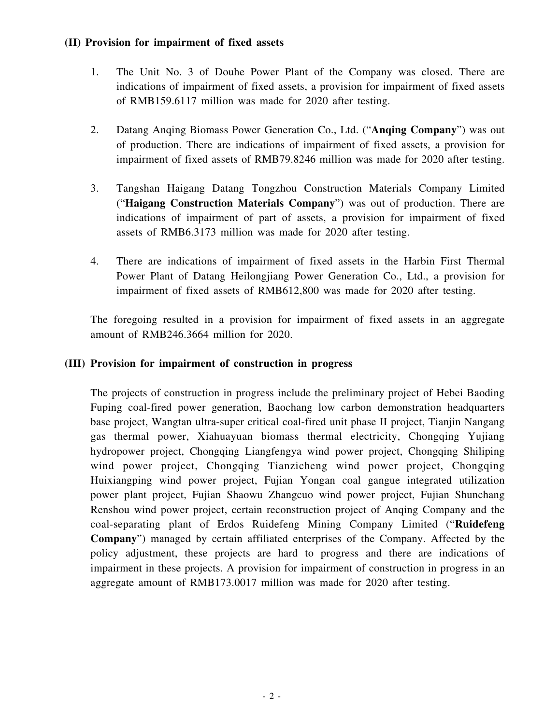### **(II) Provision for impairment of fixed assets**

- 1. The Unit No. 3 of Douhe Power Plant of the Company was closed. There are indications of impairment of fixed assets, a provision for impairment of fixed assets of RMB159.6117 million was made for 2020 after testing.
- 2. Datang Anqing Biomass Power Generation Co., Ltd. ("**Anqing Company**") was out of production. There are indications of impairment of fixed assets, a provision for impairment of fixed assets of RMB79.8246 million was made for 2020 after testing.
- 3. Tangshan Haigang Datang Tongzhou Construction Materials Company Limited ("**Haigang Construction Materials Company**") was out of production. There are indications of impairment of part of assets, a provision for impairment of fixed assets of RMB6.3173 million was made for 2020 after testing.
- 4. There are indications of impairment of fixed assets in the Harbin First Thermal Power Plant of Datang Heilongjiang Power Generation Co., Ltd., a provision for impairment of fixed assets of RMB612,800 was made for 2020 after testing.

The foregoing resulted in a provision for impairment of fixed assets in an aggregate amount of RMB246.3664 million for 2020.

### **(III) Provision for impairment of construction in progress**

The projects of construction in progress include the preliminary project of Hebei Baoding Fuping coal-fired power generation, Baochang low carbon demonstration headquarters base project, Wangtan ultra-super critical coal-fired unit phase II project, Tianjin Nangang gas thermal power, Xiahuayuan biomass thermal electricity, Chongqing Yujiang hydropower project, Chongqing Liangfengya wind power project, Chongqing Shiliping wind power project, Chongqing Tianzicheng wind power project, Chongqing Huixiangping wind power project, Fujian Yongan coal gangue integrated utilization power plant project, Fujian Shaowu Zhangcuo wind power project, Fujian Shunchang Renshou wind power project, certain reconstruction project of Anqing Company and the coal-separating plant of Erdos Ruidefeng Mining Company Limited ("**Ruidefeng Company**") managed by certain affiliated enterprises of the Company. Affected by the policy adjustment, these projects are hard to progress and there are indications of impairment in these projects. A provision for impairment of construction in progress in an aggregate amount of RMB173.0017 million was made for 2020 after testing.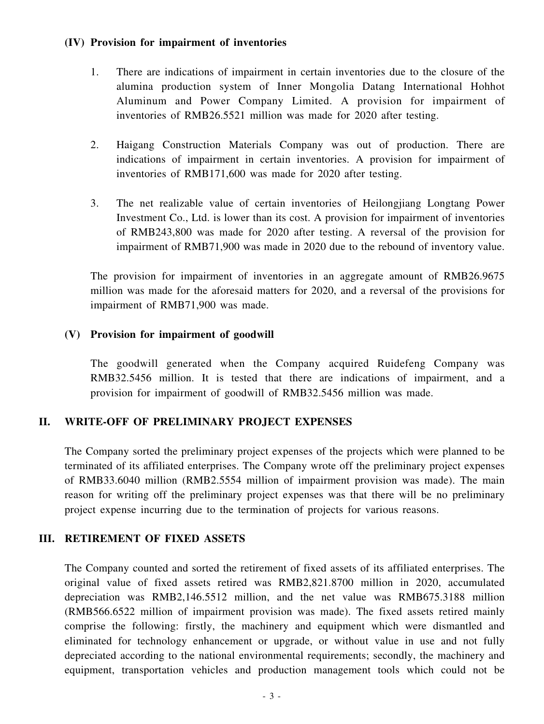#### **(IV) Provision for impairment of inventories**

- 1. There are indications of impairment in certain inventories due to the closure of the alumina production system of Inner Mongolia Datang International Hohhot Aluminum and Power Company Limited. A provision for impairment of inventories of RMB26.5521 million was made for 2020 after testing.
- 2. Haigang Construction Materials Company was out of production. There are indications of impairment in certain inventories. A provision for impairment of inventories of RMB171,600 was made for 2020 after testing.
- 3. The net realizable value of certain inventories of Heilongjiang Longtang Power Investment Co., Ltd. is lower than its cost. A provision for impairment of inventories of RMB243,800 was made for 2020 after testing. A reversal of the provision for impairment of RMB71,900 was made in 2020 due to the rebound of inventory value.

The provision for impairment of inventories in an aggregate amount of RMB26.9675 million was made for the aforesaid matters for 2020, and a reversal of the provisions for impairment of RMB71,900 was made.

#### **(V) Provision for impairment of goodwill**

The goodwill generated when the Company acquired Ruidefeng Company was RMB32.5456 million. It is tested that there are indications of impairment, and a provision for impairment of goodwill of RMB32.5456 million was made.

# **II. WRITE-OFF OF PRELIMINARY PROJECT EXPENSES**

The Company sorted the preliminary project expenses of the projects which were planned to be terminated of its affiliated enterprises. The Company wrote off the preliminary project expenses of RMB33.6040 million (RMB2.5554 million of impairment provision was made). The main reason for writing off the preliminary project expenses was that there will be no preliminary project expense incurring due to the termination of projects for various reasons.

# **III. RETIREMENT OF FIXED ASSETS**

The Company counted and sorted the retirement of fixed assets of its affiliated enterprises. The original value of fixed assets retired was RMB2,821.8700 million in 2020, accumulated depreciation was RMB2,146.5512 million, and the net value was RMB675.3188 million (RMB566.6522 million of impairment provision was made). The fixed assets retired mainly comprise the following: firstly, the machinery and equipment which were dismantled and eliminated for technology enhancement or upgrade, or without value in use and not fully depreciated according to the national environmental requirements; secondly, the machinery and equipment, transportation vehicles and production management tools which could not be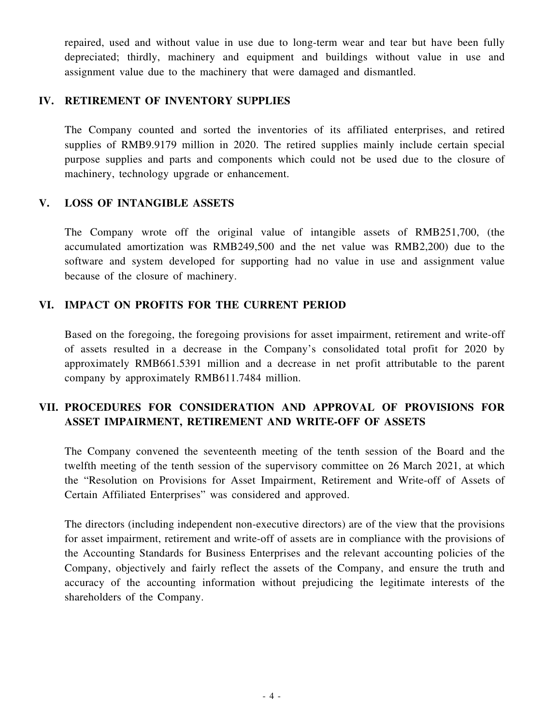repaired, used and without value in use due to long-term wear and tear but have been fully depreciated; thirdly, machinery and equipment and buildings without value in use and assignment value due to the machinery that were damaged and dismantled.

# **IV. RETIREMENT OF INVENTORY SUPPLIES**

The Company counted and sorted the inventories of its affiliated enterprises, and retired supplies of RMB9.9179 million in 2020. The retired supplies mainly include certain special purpose supplies and parts and components which could not be used due to the closure of machinery, technology upgrade or enhancement.

#### **V. LOSS OF INTANGIBLE ASSETS**

The Company wrote off the original value of intangible assets of RMB251,700, (the accumulated amortization was RMB249,500 and the net value was RMB2,200) due to the software and system developed for supporting had no value in use and assignment value because of the closure of machinery.

# **VI. IMPACT ON PROFITS FOR THE CURRENT PERIOD**

Based on the foregoing, the foregoing provisions for asset impairment, retirement and write-off of assets resulted in a decrease in the Company's consolidated total profit for 2020 by approximately RMB661.5391 million and a decrease in net profit attributable to the parent company by approximately RMB611.7484 million.

# **VII. PROCEDURES FOR CONSIDERATION AND APPROVAL OF PROVISIONS FOR ASSET IMPAIRMENT, RETIREMENT AND WRITE-OFF OF ASSETS**

The Company convened the seventeenth meeting of the tenth session of the Board and the twelfth meeting of the tenth session of the supervisory committee on 26 March 2021, at which the "Resolution on Provisions for Asset Impairment, Retirement and Write-off of Assets of Certain Affiliated Enterprises" was considered and approved.

The directors (including independent non-executive directors) are of the view that the provisions for asset impairment, retirement and write-off of assets are in compliance with the provisions of the Accounting Standards for Business Enterprises and the relevant accounting policies of the Company, objectively and fairly reflect the assets of the Company, and ensure the truth and accuracy of the accounting information without prejudicing the legitimate interests of the shareholders of the Company.